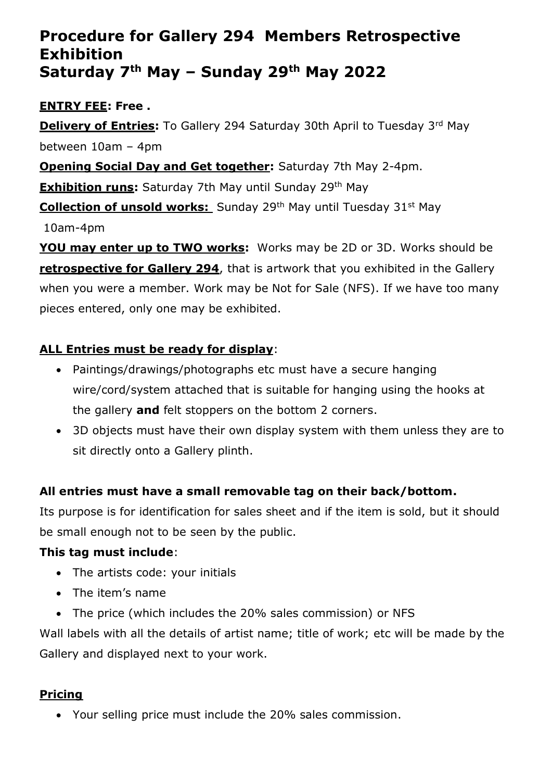# **Procedure for Gallery 294 Members Retrospective Exhibition Saturday 7 th May – Sunday 29th May 2022**

## **ENTRY FEE: Free .**

**Delivery of Entries:** To Gallery 294 Saturday 30th April to Tuesday 3<sup>rd</sup> May between 10am – 4pm

#### **Opening Social Day and Get together:** Saturday 7th May 2-4pm.

**Exhibition runs:** Saturday 7th May until Sunday 29<sup>th</sup> May

**Collection of unsold works:** Sunday 29<sup>th</sup> May until Tuesday 31<sup>st</sup> May

10am-4pm

**YOU may enter up to TWO works:** Works may be 2D or 3D. Works should be **retrospective for Gallery 294**, that is artwork that you exhibited in the Gallery when you were a member. Work may be Not for Sale (NFS). If we have too many pieces entered, only one may be exhibited.

## **ALL Entries must be ready for display**:

- Paintings/drawings/photographs etc must have a secure hanging wire/cord/system attached that is suitable for hanging using the hooks at the gallery **and** felt stoppers on the bottom 2 corners.
- 3D objects must have their own display system with them unless they are to sit directly onto a Gallery plinth.

## **All entries must have a small removable tag on their back/bottom.**

Its purpose is for identification for sales sheet and if the item is sold, but it should be small enough not to be seen by the public.

## **This tag must include**:

- The artists code: your initials
- The item's name
- The price (which includes the 20% sales commission) or NFS

Wall labels with all the details of artist name; title of work; etc will be made by the Gallery and displayed next to your work.

## **Pricing**

• Your selling price must include the 20% sales commission.